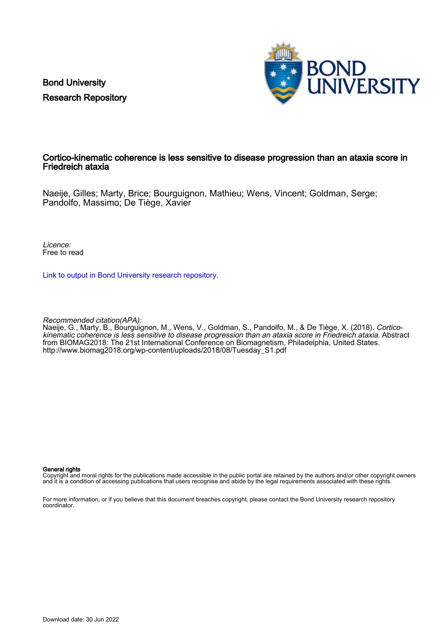Bond University Research Repository



#### Cortico-kinematic coherence is less sensitive to disease progression than an ataxia score in Friedreich ataxia

Naeije, Gilles; Marty, Brice; Bourguignon, Mathieu; Wens, Vincent; Goldman, Serge; Pandolfo, Massimo; De Tiège, Xavier

Licence: Free to read

[Link to output in Bond University research repository.](https://research.bond.edu.au/en/publications/34d3c857-09e6-4e47-9e70-a17050b5338b)

Recommended citation(APA):

Naeije, G., Marty, B., Bourguignon, M., Wens, V., Goldman, S., Pandolfo, M., & De Tiège, X. (2018). Corticokinematic coherence is less sensitive to disease progression than an ataxia score in Friedreich ataxia. Abstract from BIOMAG2018: The 21st International Conference on Biomagnetism, Philadelphia, United States. [http://www.biomag2018.org/wp-content/uploads/2018/08/Tuesday\\_S1.pdf](http://www.biomag2018.org/wp-content/uploads/2018/08/Tuesday_S1.pdf)

#### General rights

Copyright and moral rights for the publications made accessible in the public portal are retained by the authors and/or other copyright owners and it is a condition of accessing publications that users recognise and abide by the legal requirements associated with these rights.

For more information, or if you believe that this document breaches copyright, please contact the Bond University research repository coordinator.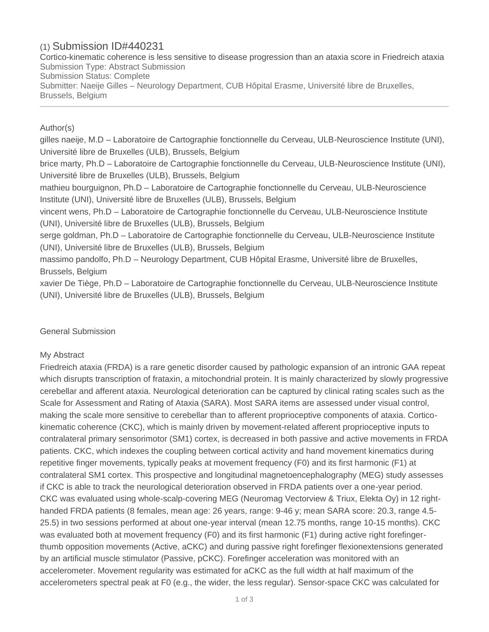# (1) Submission ID#440231

Cortico-kinematic coherence is less sensitive to disease progression than an ataxia score in Friedreich ataxia Submission Type: Abstract Submission Submission Status: Complete Submitter: Naeije Gilles – Neurology Department, CUB Hôpital Erasme, Université libre de Bruxelles, Brussels, Belgium

## Author(s)

gilles naeije, M.D – Laboratoire de Cartographie fonctionnelle du Cerveau, ULB-Neuroscience Institute (UNI), Université libre de Bruxelles (ULB), Brussels, Belgium brice marty, Ph.D – Laboratoire de Cartographie fonctionnelle du Cerveau, ULB-Neuroscience Institute (UNI), Université libre de Bruxelles (ULB), Brussels, Belgium mathieu bourguignon, Ph.D – Laboratoire de Cartographie fonctionnelle du Cerveau, ULB-Neuroscience Institute (UNI), Université libre de Bruxelles (ULB), Brussels, Belgium vincent wens, Ph.D – Laboratoire de Cartographie fonctionnelle du Cerveau, ULB-Neuroscience Institute (UNI), Université libre de Bruxelles (ULB), Brussels, Belgium serge goldman, Ph.D – Laboratoire de Cartographie fonctionnelle du Cerveau, ULB-Neuroscience Institute (UNI), Université libre de Bruxelles (ULB), Brussels, Belgium massimo pandolfo, Ph.D – Neurology Department, CUB Hôpital Erasme, Université libre de Bruxelles, Brussels, Belgium xavier De Tiège, Ph.D – Laboratoire de Cartographie fonctionnelle du Cerveau, ULB-Neuroscience Institute (UNI), Université libre de Bruxelles (ULB), Brussels, Belgium

## General Submission

### My Abstract

Friedreich ataxia (FRDA) is a rare genetic disorder caused by pathologic expansion of an intronic GAA repeat which disrupts transcription of frataxin, a mitochondrial protein. It is mainly characterized by slowly progressive cerebellar and afferent ataxia. Neurological deterioration can be captured by clinical rating scales such as the Scale for Assessment and Rating of Ataxia (SARA). Most SARA items are assessed under visual control, making the scale more sensitive to cerebellar than to afferent proprioceptive components of ataxia. Cortico kinematic coherence (CKC), which is mainly driven by movement-related afferent proprioceptive inputs to contralateral primary sensorimotor (SM1) cortex, is decreased in both passive and active movements in FRDA patients. CKC, which indexes the coupling between cortical activity and hand movement kinematics during repetitive finger movements, typically peaks at movement frequency (F0) and its first harmonic (F1) at contralateral SM1 cortex. This prospective and longitudinal magnetoencephalography (MEG) study assesses if CKC is able to track the neurological deterioration observed in FRDA patients over a one-year period. CKC was evaluated using whole-scalp-covering MEG (Neuromag Vectorview & Triux, Elekta Oy) in 12 right handed FRDA patients (8 females, mean age: 26 years, range: 9-46 y; mean SARA score: 20.3, range 4.5- 25.5) in two sessions performed at about one-year interval (mean 12.75 months, range 10-15 months). CKC was evaluated both at movement frequency (F0) and its first harmonic (F1) during active right forefingerthumb opposition movements (Active, aCKC) and during passive right forefinger flexionextensions generated by an artificial muscle stimulator (Passive, pCKC). Forefinger acceleration was monitored with an accelerometer. Movement regularity was estimated for aCKC as the full width at half maximum of the accelerometers spectral peak at F0 (e.g., the wider, the less regular). Sensor-space CKC was calculated for